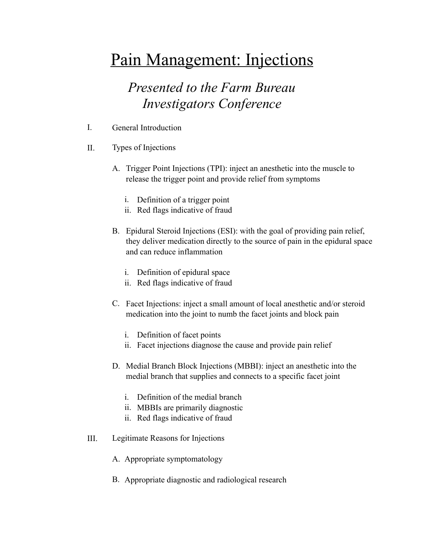## Pain Management: Injections

## *Presented to the Farm Bureau Investigators Conference*

- I. General Introduction
- II. Types of Injections
	- A. Trigger Point Injections (TPI): inject an anesthetic into the muscle to release the trigger point and provide relief from symptoms
		- i. Definition of a trigger point
		- ii. Red flags indicative of fraud
	- B. Epidural Steroid Injections (ESI): with the goal of providing pain relief, they deliver medication directly to the source of pain in the epidural space and can reduce inflammation
		- i. Definition of epidural space
		- ii. Red flags indicative of fraud
	- C. Facet Injections: inject a small amount of local anesthetic and/or steroid medication into the joint to numb the facet joints and block pain
		- i. Definition of facet points
		- ii. Facet injections diagnose the cause and provide pain relief
	- D. Medial Branch Block Injections (MBBI): inject an anesthetic into the medial branch that supplies and connects to a specific facet joint
		- i. Definition of the medial branch
		- ii. MBBIs are primarily diagnostic
		- ii. Red flags indicative of fraud
- III. Legitimate Reasons for Injections
	- A. Appropriate symptomatology
	- B. Appropriate diagnostic and radiological research